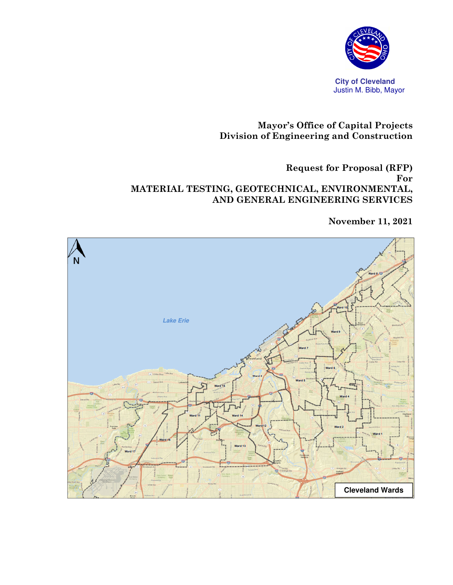

## **Mayor's Office of Capital Projects Division of Engineering and Construction**

#### **Request for Proposal (RFP) For MATERIAL TESTING, GEOTECHNICAL, ENVIRONMENTAL, AND GENERAL ENGINEERING SERVICES**

**November 11, 2021** 

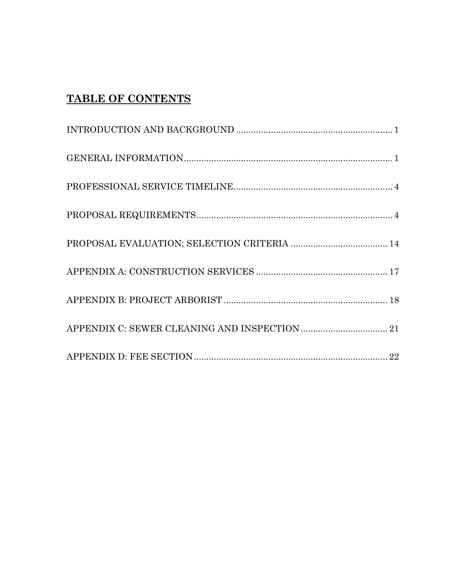# **TABLE OF CONTENTS**

| ${\tt PROPOSAL\; REGUIREMENTS.}\label{thm:PROPOSAL} \vspace{-0.05cm} \begin{minipage}[t]{0.9\linewidth} \vspace{-0.05cm} \begin{minipage}[t]{0.9\linewidth} \vspace{-0.05cm} \vspace{-0.05cm} \vspace{-0.05cm} \vspace{-0.05cm} \vspace{-0.05cm} \vspace{-0.05cm} \vspace{-0.05cm} \vspace{-0.05cm} \vspace{-0.05cm} \vspace{-0.05cm} \vspace{-0.05cm} \vspace{-0.05cm} \vspace{-0.05cm} \vspace{-0.05cm} \vspace{-0.05$ |  |
|--------------------------------------------------------------------------------------------------------------------------------------------------------------------------------------------------------------------------------------------------------------------------------------------------------------------------------------------------------------------------------------------------------------------------|--|
| ${\bf PROPOSAL~EVALUATION};~{\bf SELECTION~CRITERIA~14}$                                                                                                                                                                                                                                                                                                                                                                 |  |
|                                                                                                                                                                                                                                                                                                                                                                                                                          |  |
|                                                                                                                                                                                                                                                                                                                                                                                                                          |  |
|                                                                                                                                                                                                                                                                                                                                                                                                                          |  |
|                                                                                                                                                                                                                                                                                                                                                                                                                          |  |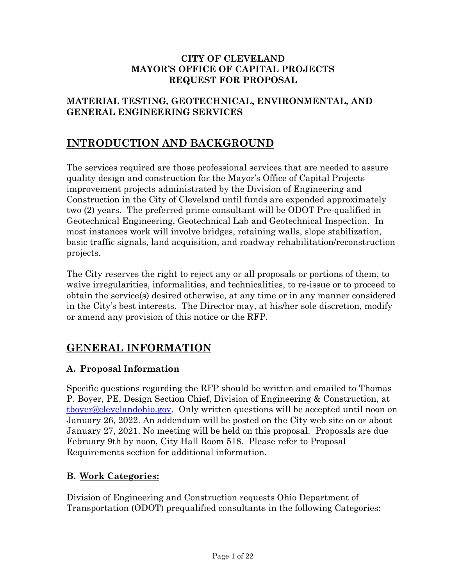#### **CITY OF CLEVELAND MAYOR'S OFFICE OF CAPITAL PROJECTS REQUEST FOR PROPOSAL**

## **MATERIAL TESTING, GEOTECHNICAL, ENVIRONMENTAL, AND GENERAL ENGINEERING SERVICES**

## **INTRODUCTION AND BACKGROUND**

The services required are those professional services that are needed to assure quality design and construction for the Mayor's Office of Capital Projects improvement projects administrated by the Division of Engineering and Construction in the City of Cleveland until funds are expended approximately two (2) years. The preferred prime consultant will be ODOT Pre-qualified in Geotechnical Engineering, Geotechnical Lab and Geotechnical Inspection. In most instances work will involve bridges, retaining walls, slope stabilization, basic traffic signals, land acquisition, and roadway rehabilitation/reconstruction projects.

The City reserves the right to reject any or all proposals or portions of them, to waive irregularities, informalities, and technicalities, to re-issue or to proceed to obtain the service(s) desired otherwise, at any time or in any manner considered in the City's best interests. The Director may, at his/her sole discretion, modify or amend any provision of this notice or the RFP.

## **GENERAL INFORMATION**

## **A. Proposal Information**

Specific questions regarding the RFP should be written and emailed to Thomas P. Boyer, PE, Design Section Chief, Division of Engineering & Construction, at tboyer@clevelandohio.gov. Only written questions will be accepted until noon on January 26, 2022. An addendum will be posted on the City web site on or about January 27, 2021. No meeting will be held on this proposal. Proposals are due February 9th by noon, City Hall Room 518. Please refer to Proposal Requirements section for additional information.

## **B. Work Categories:**

Division of Engineering and Construction requests Ohio Department of Transportation (ODOT) prequalified consultants in the following Categories: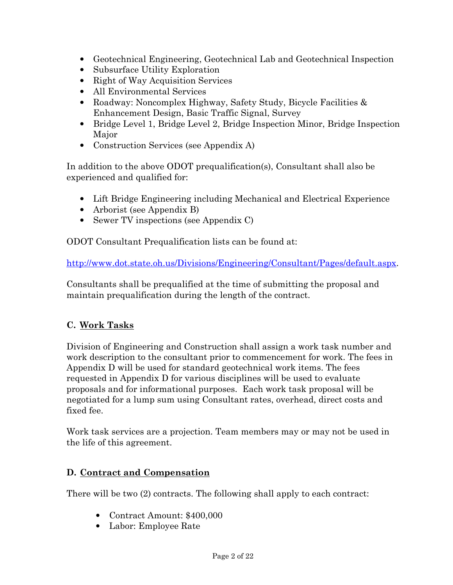- Geotechnical Engineering, Geotechnical Lab and Geotechnical Inspection
- Subsurface Utility Exploration
- Right of Way Acquisition Services
- All Environmental Services
- Roadway: Noncomplex Highway, Safety Study, Bicycle Facilities & Enhancement Design, Basic Traffic Signal, Survey
- Bridge Level 1, Bridge Level 2, Bridge Inspection Minor, Bridge Inspection Major
- Construction Services (see Appendix A)

In addition to the above ODOT prequalification(s), Consultant shall also be experienced and qualified for:

- Lift Bridge Engineering including Mechanical and Electrical Experience
- Arborist (see Appendix B)
- Sewer TV inspections (see Appendix C)

ODOT Consultant Prequalification lists can be found at:

http://www.dot.state.oh.us/Divisions/Engineering/Consultant/Pages/default.aspx.

Consultants shall be prequalified at the time of submitting the proposal and maintain prequalification during the length of the contract.

## **C. Work Tasks**

Division of Engineering and Construction shall assign a work task number and work description to the consultant prior to commencement for work. The fees in Appendix D will be used for standard geotechnical work items. The fees requested in Appendix D for various disciplines will be used to evaluate proposals and for informational purposes. Each work task proposal will be negotiated for a lump sum using Consultant rates, overhead, direct costs and fixed fee.

Work task services are a projection. Team members may or may not be used in the life of this agreement.

## **D. Contract and Compensation**

There will be two (2) contracts. The following shall apply to each contract:

- Contract Amount: \$400,000
- Labor: Employee Rate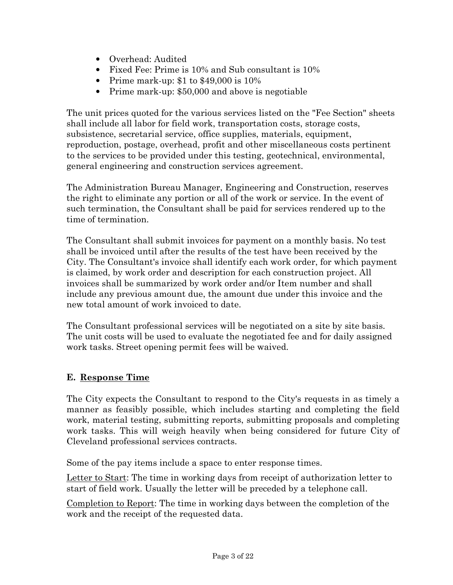- Overhead: Audited
- Fixed Fee: Prime is 10% and Sub consultant is 10%
- Prime mark-up: \$1 to \$49,000 is 10%
- Prime mark-up: \$50,000 and above is negotiable

The unit prices quoted for the various services listed on the "Fee Section" sheets shall include all labor for field work, transportation costs, storage costs, subsistence, secretarial service, office supplies, materials, equipment, reproduction, postage, overhead, profit and other miscellaneous costs pertinent to the services to be provided under this testing, geotechnical, environmental, general engineering and construction services agreement.

The Administration Bureau Manager, Engineering and Construction, reserves the right to eliminate any portion or all of the work or service. In the event of such termination, the Consultant shall be paid for services rendered up to the time of termination.

The Consultant shall submit invoices for payment on a monthly basis. No test shall be invoiced until after the results of the test have been received by the City. The Consultant's invoice shall identify each work order, for which payment is claimed, by work order and description for each construction project. All invoices shall be summarized by work order and/or Item number and shall include any previous amount due, the amount due under this invoice and the new total amount of work invoiced to date.

The Consultant professional services will be negotiated on a site by site basis. The unit costs will be used to evaluate the negotiated fee and for daily assigned work tasks. Street opening permit fees will be waived.

## **E. Response Time**

The City expects the Consultant to respond to the City's requests in as timely a manner as feasibly possible, which includes starting and completing the field work, material testing, submitting reports, submitting proposals and completing work tasks. This will weigh heavily when being considered for future City of Cleveland professional services contracts.

Some of the pay items include a space to enter response times.

Letter to Start: The time in working days from receipt of authorization letter to start of field work. Usually the letter will be preceded by a telephone call.

Completion to Report: The time in working days between the completion of the work and the receipt of the requested data.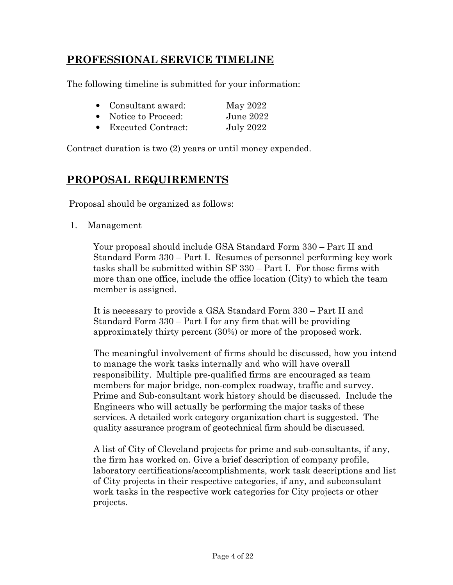# **PROFESSIONAL SERVICE TIMELINE**

The following timeline is submitted for your information:

| • Consultant award:  | May 2022         |
|----------------------|------------------|
| • Notice to Proceed: | June 2022        |
| • Executed Contract: | <b>July 2022</b> |

Contract duration is two (2) years or until money expended.

# **PROPOSAL REQUIREMENTS**

Proposal should be organized as follows:

1. Management

Your proposal should include GSA Standard Form 330 – Part II and Standard Form 330 – Part I. Resumes of personnel performing key work tasks shall be submitted within SF 330 – Part I. For those firms with more than one office, include the office location (City) to which the team member is assigned.

It is necessary to provide a GSA Standard Form 330 – Part II and Standard Form 330 – Part I for any firm that will be providing approximately thirty percent (30%) or more of the proposed work.

The meaningful involvement of firms should be discussed, how you intend to manage the work tasks internally and who will have overall responsibility. Multiple pre-qualified firms are encouraged as team members for major bridge, non-complex roadway, traffic and survey. Prime and Sub-consultant work history should be discussed. Include the Engineers who will actually be performing the major tasks of these services. A detailed work category organization chart is suggested. The quality assurance program of geotechnical firm should be discussed.

A list of City of Cleveland projects for prime and sub-consultants, if any, the firm has worked on. Give a brief description of company profile, laboratory certifications/accomplishments, work task descriptions and list of City projects in their respective categories, if any, and subconsulant work tasks in the respective work categories for City projects or other projects.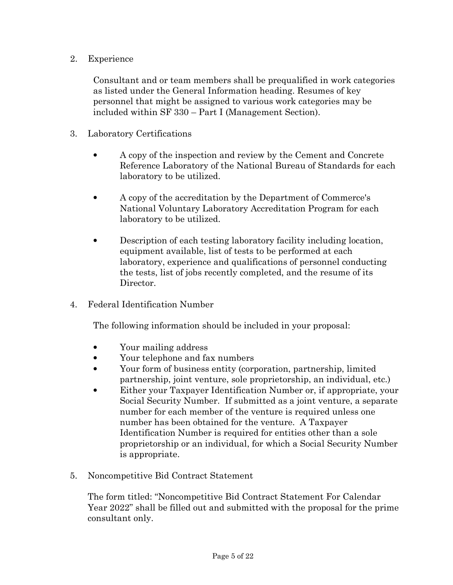## 2. Experience

Consultant and or team members shall be prequalified in work categories as listed under the General Information heading. Resumes of key personnel that might be assigned to various work categories may be included within SF 330 – Part I (Management Section).

- 3. Laboratory Certifications
	- A copy of the inspection and review by the Cement and Concrete Reference Laboratory of the National Bureau of Standards for each laboratory to be utilized.
	- A copy of the accreditation by the Department of Commerce's National Voluntary Laboratory Accreditation Program for each laboratory to be utilized.
	- Description of each testing laboratory facility including location, equipment available, list of tests to be performed at each laboratory, experience and qualifications of personnel conducting the tests, list of jobs recently completed, and the resume of its Director.
- 4. Federal Identification Number

The following information should be included in your proposal:

- Your mailing address
- Your telephone and fax numbers
- Your form of business entity (corporation, partnership, limited partnership, joint venture, sole proprietorship, an individual, etc.)
- Either your Taxpayer Identification Number or, if appropriate, your Social Security Number. If submitted as a joint venture, a separate number for each member of the venture is required unless one number has been obtained for the venture. A Taxpayer Identification Number is required for entities other than a sole proprietorship or an individual, for which a Social Security Number is appropriate.
- 5. Noncompetitive Bid Contract Statement

The form titled: "Noncompetitive Bid Contract Statement For Calendar Year 2022" shall be filled out and submitted with the proposal for the prime consultant only.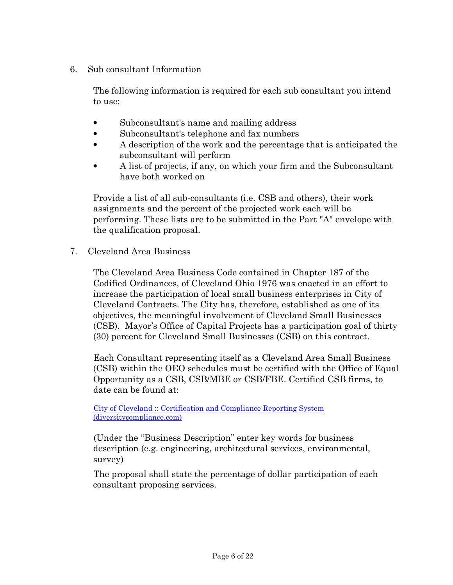6. Sub consultant Information

The following information is required for each sub consultant you intend to use:

- Subconsultant's name and mailing address
- Subconsultant's telephone and fax numbers
- A description of the work and the percentage that is anticipated the subconsultant will perform
- A list of projects, if any, on which your firm and the Subconsultant have both worked on

Provide a list of all sub-consultants (i.e. CSB and others), their work assignments and the percent of the projected work each will be performing. These lists are to be submitted in the Part "A" envelope with the qualification proposal.

7. Cleveland Area Business

The Cleveland Area Business Code contained in Chapter 187 of the Codified Ordinances, of Cleveland Ohio 1976 was enacted in an effort to increase the participation of local small business enterprises in City of Cleveland Contracts. The City has, therefore, established as one of its objectives, the meaningful involvement of Cleveland Small Businesses (CSB). Mayor's Office of Capital Projects has a participation goal of thirty (30) percent for Cleveland Small Businesses (CSB) on this contract.

Each Consultant representing itself as a Cleveland Area Small Business (CSB) within the OEO schedules must be certified with the Office of Equal Opportunity as a CSB, CSB/MBE or CSB/FBE. Certified CSB firms, to date can be found at:

City of Cleveland :: Certification and Compliance Reporting System (diversitycompliance.com)

(Under the "Business Description" enter key words for business description (e.g. engineering, architectural services, environmental, survey)

The proposal shall state the percentage of dollar participation of each consultant proposing services.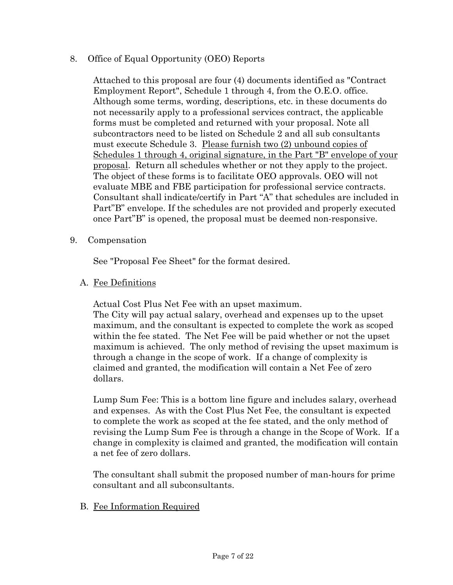### 8. Office of Equal Opportunity (OEO) Reports

Attached to this proposal are four (4) documents identified as "Contract Employment Report", Schedule 1 through 4, from the O.E.O. office. Although some terms, wording, descriptions, etc. in these documents do not necessarily apply to a professional services contract, the applicable forms must be completed and returned with your proposal. Note all subcontractors need to be listed on Schedule 2 and all sub consultants must execute Schedule 3. Please furnish two (2) unbound copies of Schedules 1 through 4, original signature, in the Part "B" envelope of your proposal. Return all schedules whether or not they apply to the project. The object of these forms is to facilitate OEO approvals. OEO will not evaluate MBE and FBE participation for professional service contracts. Consultant shall indicate/certify in Part "A" that schedules are included in Part"B" envelope. If the schedules are not provided and properly executed once Part"B" is opened, the proposal must be deemed non-responsive.

#### 9. Compensation

See "Proposal Fee Sheet" for the format desired.

#### A. Fee Definitions

Actual Cost Plus Net Fee with an upset maximum.

The City will pay actual salary, overhead and expenses up to the upset maximum, and the consultant is expected to complete the work as scoped within the fee stated. The Net Fee will be paid whether or not the upset maximum is achieved. The only method of revising the upset maximum is through a change in the scope of work. If a change of complexity is claimed and granted, the modification will contain a Net Fee of zero dollars.

Lump Sum Fee: This is a bottom line figure and includes salary, overhead and expenses. As with the Cost Plus Net Fee, the consultant is expected to complete the work as scoped at the fee stated, and the only method of revising the Lump Sum Fee is through a change in the Scope of Work. If a change in complexity is claimed and granted, the modification will contain a net fee of zero dollars.

The consultant shall submit the proposed number of man-hours for prime consultant and all subconsultants.

#### B. Fee Information Required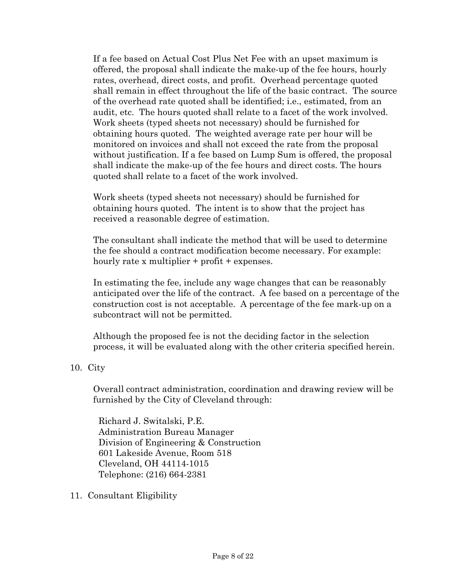If a fee based on Actual Cost Plus Net Fee with an upset maximum is offered, the proposal shall indicate the make-up of the fee hours, hourly rates, overhead, direct costs, and profit. Overhead percentage quoted shall remain in effect throughout the life of the basic contract. The source of the overhead rate quoted shall be identified; i.e., estimated, from an audit, etc. The hours quoted shall relate to a facet of the work involved. Work sheets (typed sheets not necessary) should be furnished for obtaining hours quoted. The weighted average rate per hour will be monitored on invoices and shall not exceed the rate from the proposal without justification. If a fee based on Lump Sum is offered, the proposal shall indicate the make-up of the fee hours and direct costs. The hours quoted shall relate to a facet of the work involved.

Work sheets (typed sheets not necessary) should be furnished for obtaining hours quoted. The intent is to show that the project has received a reasonable degree of estimation.

The consultant shall indicate the method that will be used to determine the fee should a contract modification become necessary. For example: hourly rate x multiplier + profit + expenses.

In estimating the fee, include any wage changes that can be reasonably anticipated over the life of the contract. A fee based on a percentage of the construction cost is not acceptable. A percentage of the fee mark-up on a subcontract will not be permitted.

Although the proposed fee is not the deciding factor in the selection process, it will be evaluated along with the other criteria specified herein.

#### 10. City

Overall contract administration, coordination and drawing review will be furnished by the City of Cleveland through:

Richard J. Switalski, P.E. Administration Bureau Manager Division of Engineering & Construction 601 Lakeside Avenue, Room 518 Cleveland, OH 44114-1015 Telephone: (216) 664-2381

11. Consultant Eligibility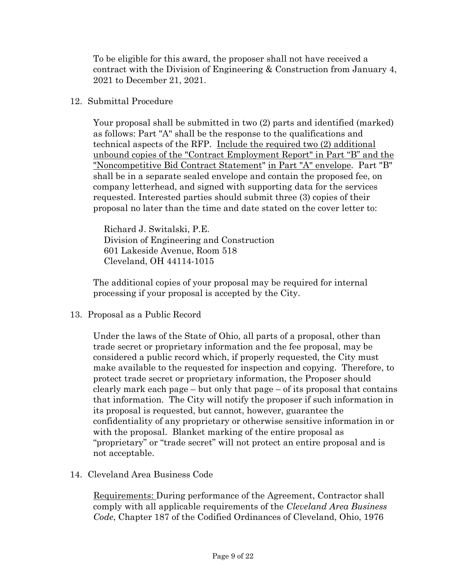To be eligible for this award, the proposer shall not have received a contract with the Division of Engineering & Construction from January 4, 2021 to December 21, 2021.

#### 12. Submittal Procedure

Your proposal shall be submitted in two (2) parts and identified (marked) as follows: Part "A" shall be the response to the qualifications and technical aspects of the RFP. Include the required two (2) additional unbound copies of the "Contract Employment Report" in Part "B" and the "Noncompetitive Bid Contract Statement" in Part "A" envelope. Part "B" shall be in a separate sealed envelope and contain the proposed fee, on company letterhead, and signed with supporting data for the services requested. Interested parties should submit three (3) copies of their proposal no later than the time and date stated on the cover letter to:

Richard J. Switalski, P.E. Division of Engineering and Construction 601 Lakeside Avenue, Room 518 Cleveland, OH 44114-1015

The additional copies of your proposal may be required for internal processing if your proposal is accepted by the City.

13. Proposal as a Public Record

Under the laws of the State of Ohio, all parts of a proposal, other than trade secret or proprietary information and the fee proposal, may be considered a public record which, if properly requested, the City must make available to the requested for inspection and copying. Therefore, to protect trade secret or proprietary information, the Proposer should clearly mark each page – but only that page – of its proposal that contains that information. The City will notify the proposer if such information in its proposal is requested, but cannot, however, guarantee the confidentiality of any proprietary or otherwise sensitive information in or with the proposal. Blanket marking of the entire proposal as "proprietary" or "trade secret" will not protect an entire proposal and is not acceptable.

14. Cleveland Area Business Code

Requirements: During performance of the Agreement, Contractor shall comply with all applicable requirements of the *Cleveland Area Business Code*, Chapter 187 of the Codified Ordinances of Cleveland, Ohio, 1976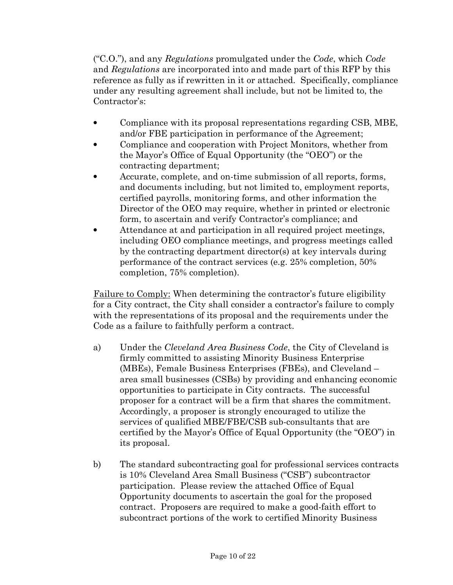("C.O."), and any *Regulations* promulgated under the *Code*, which *Code* and *Regulations* are incorporated into and made part of this RFP by this reference as fully as if rewritten in it or attached. Specifically, compliance under any resulting agreement shall include, but not be limited to, the Contractor's:

- Compliance with its proposal representations regarding CSB, MBE, and/or FBE participation in performance of the Agreement;
- Compliance and cooperation with Project Monitors, whether from the Mayor's Office of Equal Opportunity (the "OEO") or the contracting department;
- Accurate, complete, and on-time submission of all reports, forms, and documents including, but not limited to, employment reports, certified payrolls, monitoring forms, and other information the Director of the OEO may require, whether in printed or electronic form, to ascertain and verify Contractor's compliance; and
- Attendance at and participation in all required project meetings, including OEO compliance meetings, and progress meetings called by the contracting department director(s) at key intervals during performance of the contract services (e.g. 25% completion, 50% completion, 75% completion).

Failure to Comply: When determining the contractor's future eligibility for a City contract, the City shall consider a contractor's failure to comply with the representations of its proposal and the requirements under the Code as a failure to faithfully perform a contract.

- a) Under the *Cleveland Area Business Code*, the City of Cleveland is firmly committed to assisting Minority Business Enterprise (MBEs), Female Business Enterprises (FBEs), and Cleveland – area small businesses (CSBs) by providing and enhancing economic opportunities to participate in City contracts. The successful proposer for a contract will be a firm that shares the commitment. Accordingly, a proposer is strongly encouraged to utilize the services of qualified MBE/FBE/CSB sub-consultants that are certified by the Mayor's Office of Equal Opportunity (the "OEO") in its proposal.
- b) The standard subcontracting goal for professional services contracts is 10% Cleveland Area Small Business ("CSB") subcontractor participation. Please review the attached Office of Equal Opportunity documents to ascertain the goal for the proposed contract. Proposers are required to make a good-faith effort to subcontract portions of the work to certified Minority Business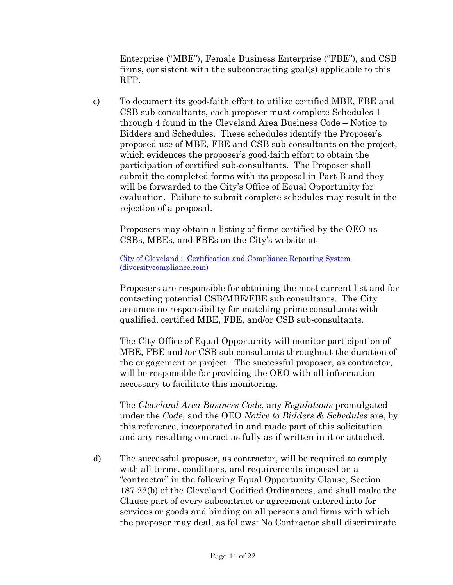Enterprise ("MBE"), Female Business Enterprise ("FBE"), and CSB firms, consistent with the subcontracting goal(s) applicable to this RFP.

c) To document its good-faith effort to utilize certified MBE, FBE and CSB sub-consultants, each proposer must complete Schedules 1 through 4 found in the Cleveland Area Business Code – Notice to Bidders and Schedules. These schedules identify the Proposer's proposed use of MBE, FBE and CSB sub-consultants on the project, which evidences the proposer's good-faith effort to obtain the participation of certified sub-consultants. The Proposer shall submit the completed forms with its proposal in Part B and they will be forwarded to the City's Office of Equal Opportunity for evaluation. Failure to submit complete schedules may result in the rejection of a proposal.

Proposers may obtain a listing of firms certified by the OEO as CSBs, MBEs, and FBEs on the City's website at

City of Cleveland :: Certification and Compliance Reporting System (diversitycompliance.com)

Proposers are responsible for obtaining the most current list and for contacting potential CSB/MBE/FBE sub consultants. The City assumes no responsibility for matching prime consultants with qualified, certified MBE, FBE, and/or CSB sub-consultants.

The City Office of Equal Opportunity will monitor participation of MBE, FBE and /or CSB sub-consultants throughout the duration of the engagement or project. The successful proposer, as contractor, will be responsible for providing the OEO with all information necessary to facilitate this monitoring.

The *Cleveland Area Business Code*, any *Regulations* promulgated under the *Code*, and the OEO *Notice to Bidders & Schedules* are, by this reference, incorporated in and made part of this solicitation and any resulting contract as fully as if written in it or attached.

d) The successful proposer, as contractor, will be required to comply with all terms, conditions, and requirements imposed on a "contractor" in the following Equal Opportunity Clause, Section 187.22(b) of the Cleveland Codified Ordinances, and shall make the Clause part of every subcontract or agreement entered into for services or goods and binding on all persons and firms with which the proposer may deal, as follows: No Contractor shall discriminate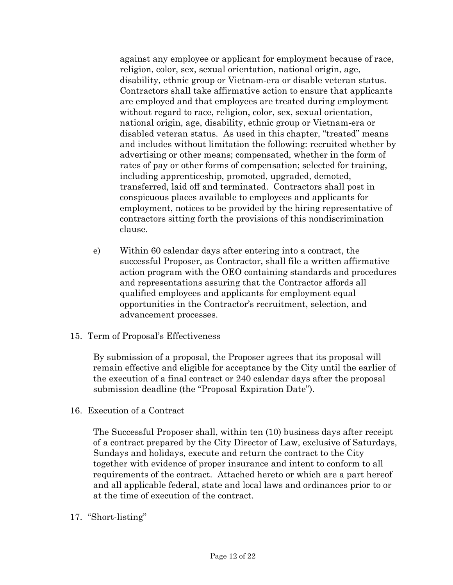against any employee or applicant for employment because of race, religion, color, sex, sexual orientation, national origin, age, disability, ethnic group or Vietnam-era or disable veteran status. Contractors shall take affirmative action to ensure that applicants are employed and that employees are treated during employment without regard to race, religion, color, sex, sexual orientation, national origin, age, disability, ethnic group or Vietnam-era or disabled veteran status. As used in this chapter, "treated" means and includes without limitation the following: recruited whether by advertising or other means; compensated, whether in the form of rates of pay or other forms of compensation; selected for training, including apprenticeship, promoted, upgraded, demoted, transferred, laid off and terminated. Contractors shall post in conspicuous places available to employees and applicants for employment, notices to be provided by the hiring representative of contractors sitting forth the provisions of this nondiscrimination clause.

- e) Within 60 calendar days after entering into a contract, the successful Proposer, as Contractor, shall file a written affirmative action program with the OEO containing standards and procedures and representations assuring that the Contractor affords all qualified employees and applicants for employment equal opportunities in the Contractor's recruitment, selection, and advancement processes.
- 15. Term of Proposal's Effectiveness

By submission of a proposal, the Proposer agrees that its proposal will remain effective and eligible for acceptance by the City until the earlier of the execution of a final contract or 240 calendar days after the proposal submission deadline (the "Proposal Expiration Date").

16. Execution of a Contract

The Successful Proposer shall, within ten (10) business days after receipt of a contract prepared by the City Director of Law, exclusive of Saturdays, Sundays and holidays, execute and return the contract to the City together with evidence of proper insurance and intent to conform to all requirements of the contract. Attached hereto or which are a part hereof and all applicable federal, state and local laws and ordinances prior to or at the time of execution of the contract.

17. "Short-listing"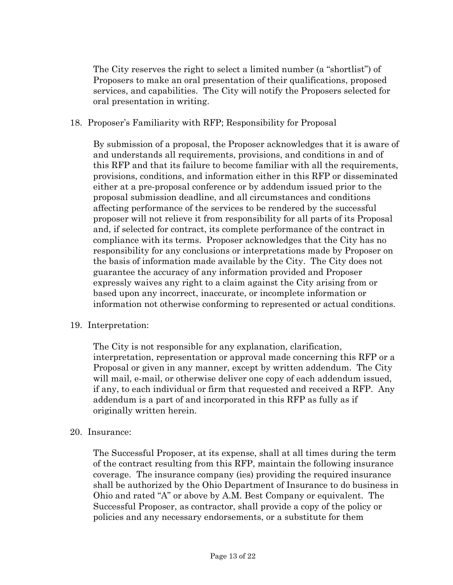The City reserves the right to select a limited number (a "shortlist") of Proposers to make an oral presentation of their qualifications, proposed services, and capabilities. The City will notify the Proposers selected for oral presentation in writing.

#### 18. Proposer's Familiarity with RFP; Responsibility for Proposal

By submission of a proposal, the Proposer acknowledges that it is aware of and understands all requirements, provisions, and conditions in and of this RFP and that its failure to become familiar with all the requirements, provisions, conditions, and information either in this RFP or disseminated either at a pre-proposal conference or by addendum issued prior to the proposal submission deadline, and all circumstances and conditions affecting performance of the services to be rendered by the successful proposer will not relieve it from responsibility for all parts of its Proposal and, if selected for contract, its complete performance of the contract in compliance with its terms. Proposer acknowledges that the City has no responsibility for any conclusions or interpretations made by Proposer on the basis of information made available by the City. The City does not guarantee the accuracy of any information provided and Proposer expressly waives any right to a claim against the City arising from or based upon any incorrect, inaccurate, or incomplete information or information not otherwise conforming to represented or actual conditions.

#### 19. Interpretation:

The City is not responsible for any explanation, clarification, interpretation, representation or approval made concerning this RFP or a Proposal or given in any manner, except by written addendum. The City will mail, e-mail, or otherwise deliver one copy of each addendum issued, if any, to each individual or firm that requested and received a RFP. Any addendum is a part of and incorporated in this RFP as fully as if originally written herein.

#### 20. Insurance:

The Successful Proposer, at its expense, shall at all times during the term of the contract resulting from this RFP, maintain the following insurance coverage. The insurance company (ies) providing the required insurance shall be authorized by the Ohio Department of Insurance to do business in Ohio and rated "A" or above by A.M. Best Company or equivalent. The Successful Proposer, as contractor, shall provide a copy of the policy or policies and any necessary endorsements, or a substitute for them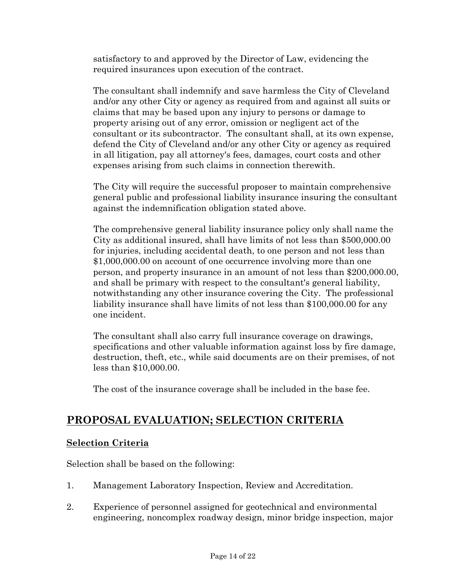satisfactory to and approved by the Director of Law, evidencing the required insurances upon execution of the contract.

The consultant shall indemnify and save harmless the City of Cleveland and/or any other City or agency as required from and against all suits or claims that may be based upon any injury to persons or damage to property arising out of any error, omission or negligent act of the consultant or its subcontractor. The consultant shall, at its own expense, defend the City of Cleveland and/or any other City or agency as required in all litigation, pay all attorney's fees, damages, court costs and other expenses arising from such claims in connection therewith.

The City will require the successful proposer to maintain comprehensive general public and professional liability insurance insuring the consultant against the indemnification obligation stated above.

The comprehensive general liability insurance policy only shall name the City as additional insured, shall have limits of not less than \$500,000.00 for injuries, including accidental death, to one person and not less than \$1,000,000.00 on account of one occurrence involving more than one person, and property insurance in an amount of not less than \$200,000.00, and shall be primary with respect to the consultant's general liability, notwithstanding any other insurance covering the City. The professional liability insurance shall have limits of not less than \$100,000.00 for any one incident.

The consultant shall also carry full insurance coverage on drawings, specifications and other valuable information against loss by fire damage, destruction, theft, etc., while said documents are on their premises, of not less than \$10,000.00.

The cost of the insurance coverage shall be included in the base fee.

# **PROPOSAL EVALUATION; SELECTION CRITERIA**

## **Selection Criteria**

Selection shall be based on the following:

- 1. Management Laboratory Inspection, Review and Accreditation.
- 2. Experience of personnel assigned for geotechnical and environmental engineering, noncomplex roadway design, minor bridge inspection, major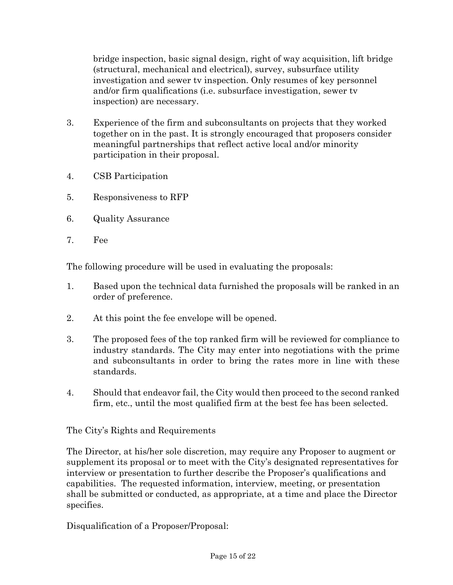bridge inspection, basic signal design, right of way acquisition, lift bridge (structural, mechanical and electrical), survey, subsurface utility investigation and sewer tv inspection. Only resumes of key personnel and/or firm qualifications (i.e. subsurface investigation, sewer tv inspection) are necessary.

- 3. Experience of the firm and subconsultants on projects that they worked together on in the past. It is strongly encouraged that proposers consider meaningful partnerships that reflect active local and/or minority participation in their proposal.
- 4. CSB Participation
- 5. Responsiveness to RFP
- 6. Quality Assurance
- 7. Fee

The following procedure will be used in evaluating the proposals:

- 1. Based upon the technical data furnished the proposals will be ranked in an order of preference.
- 2. At this point the fee envelope will be opened.
- 3. The proposed fees of the top ranked firm will be reviewed for compliance to industry standards. The City may enter into negotiations with the prime and subconsultants in order to bring the rates more in line with these standards.
- 4. Should that endeavor fail, the City would then proceed to the second ranked firm, etc., until the most qualified firm at the best fee has been selected.

The City's Rights and Requirements

The Director, at his/her sole discretion, may require any Proposer to augment or supplement its proposal or to meet with the City's designated representatives for interview or presentation to further describe the Proposer's qualifications and capabilities. The requested information, interview, meeting, or presentation shall be submitted or conducted, as appropriate, at a time and place the Director specifies.

Disqualification of a Proposer/Proposal: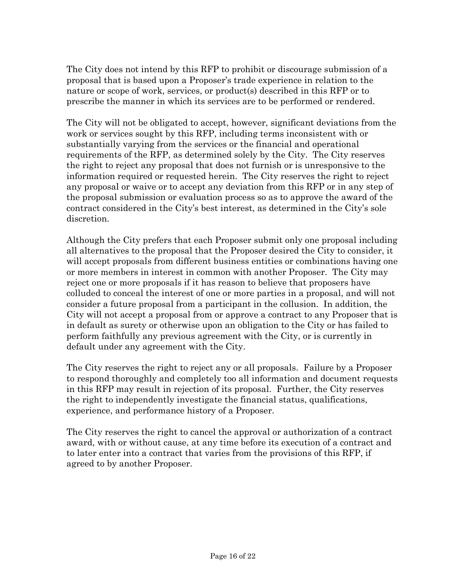The City does not intend by this RFP to prohibit or discourage submission of a proposal that is based upon a Proposer's trade experience in relation to the nature or scope of work, services, or product(s) described in this RFP or to prescribe the manner in which its services are to be performed or rendered.

The City will not be obligated to accept, however, significant deviations from the work or services sought by this RFP, including terms inconsistent with or substantially varying from the services or the financial and operational requirements of the RFP, as determined solely by the City. The City reserves the right to reject any proposal that does not furnish or is unresponsive to the information required or requested herein. The City reserves the right to reject any proposal or waive or to accept any deviation from this RFP or in any step of the proposal submission or evaluation process so as to approve the award of the contract considered in the City's best interest, as determined in the City's sole discretion.

Although the City prefers that each Proposer submit only one proposal including all alternatives to the proposal that the Proposer desired the City to consider, it will accept proposals from different business entities or combinations having one or more members in interest in common with another Proposer. The City may reject one or more proposals if it has reason to believe that proposers have colluded to conceal the interest of one or more parties in a proposal, and will not consider a future proposal from a participant in the collusion. In addition, the City will not accept a proposal from or approve a contract to any Proposer that is in default as surety or otherwise upon an obligation to the City or has failed to perform faithfully any previous agreement with the City, or is currently in default under any agreement with the City.

The City reserves the right to reject any or all proposals. Failure by a Proposer to respond thoroughly and completely too all information and document requests in this RFP may result in rejection of its proposal. Further, the City reserves the right to independently investigate the financial status, qualifications, experience, and performance history of a Proposer.

The City reserves the right to cancel the approval or authorization of a contract award, with or without cause, at any time before its execution of a contract and to later enter into a contract that varies from the provisions of this RFP, if agreed to by another Proposer.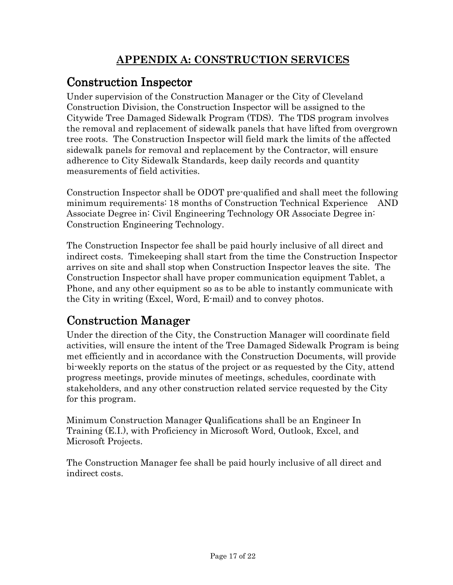# **APPENDIX A: CONSTRUCTION SERVICES**

# Construction Inspector Inspector

Under supervision of the Construction Manager or the City of Cleveland Construction Division, the Construction Inspector will be assigned to the Citywide Tree Damaged Sidewalk Program (TDS). The TDS program involves the removal and replacement of sidewalk panels that have lifted from overgrown tree roots. The Construction Inspector will field mark the limits of the affected sidewalk panels for removal and replacement by the Contractor, will ensure adherence to City Sidewalk Standards, keep daily records and quantity measurements of field activities.

Construction Inspector shall be ODOT pre-qualified and shall meet the following minimum requirements: 18 months of Construction Technical Experience AND Associate Degree in: Civil Engineering Technology OR Associate Degree in: Construction Engineering Technology.

The Construction Inspector fee shall be paid hourly inclusive of all direct and indirect costs. Timekeeping shall start from the time the Construction Inspector arrives on site and shall stop when Construction Inspector leaves the site. The Construction Inspector shall have proper communication equipment Tablet, a Phone, and any other equipment so as to be able to instantly communicate with the City in writing (Excel, Word, E-mail) and to convey photos.

# **Construction Manager**

Under the direction of the City, the Construction Manager will coordinate field activities, will ensure the intent of the Tree Damaged Sidewalk Program is being met efficiently and in accordance with the Construction Documents, will provide bi-weekly reports on the status of the project or as requested by the City, attend progress meetings, provide minutes of meetings, schedules, coordinate with stakeholders, and any other construction related service requested by the City for this program.

Minimum Construction Manager Qualifications shall be an Engineer In Training (E.I.), with Proficiency in Microsoft Word, Outlook, Excel, and Microsoft Projects.

The Construction Manager fee shall be paid hourly inclusive of all direct and indirect costs.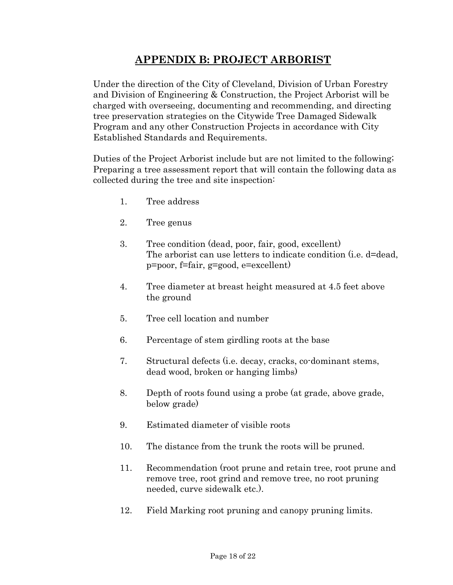# **APPENDIX B: PROJECT ARBORIST**

Under the direction of the City of Cleveland, Division of Urban Forestry and Division of Engineering & Construction, the Project Arborist will be charged with overseeing, documenting and recommending, and directing tree preservation strategies on the Citywide Tree Damaged Sidewalk Program and any other Construction Projects in accordance with City Established Standards and Requirements.

Duties of the Project Arborist include but are not limited to the following; Preparing a tree assessment report that will contain the following data as collected during the tree and site inspection:

- 1. Tree address
- 2. Tree genus
- 3. Tree condition (dead, poor, fair, good, excellent) The arborist can use letters to indicate condition (i.e. d=dead, p=poor, f=fair, g=good, e=excellent)
- 4. Tree diameter at breast height measured at 4.5 feet above the ground
- 5. Tree cell location and number
- 6. Percentage of stem girdling roots at the base
- 7. Structural defects (i.e. decay, cracks, co-dominant stems, dead wood, broken or hanging limbs)
- 8. Depth of roots found using a probe (at grade, above grade, below grade)
- 9. Estimated diameter of visible roots
- 10. The distance from the trunk the roots will be pruned.
- 11. Recommendation (root prune and retain tree, root prune and remove tree, root grind and remove tree, no root pruning needed, curve sidewalk etc.).
- 12. Field Marking root pruning and canopy pruning limits.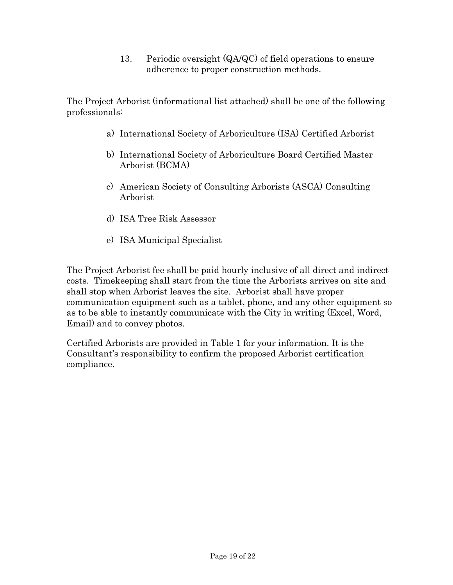13. Periodic oversight (QA/QC) of field operations to ensure adherence to proper construction methods.

The Project Arborist (informational list attached) shall be one of the following professionals:

- a) International Society of Arboriculture (ISA) Certified Arborist
- b) International Society of Arboriculture Board Certified Master Arborist (BCMA)
- c) American Society of Consulting Arborists (ASCA) Consulting Arborist
- d) ISA Tree Risk Assessor
- e) ISA Municipal Specialist

The Project Arborist fee shall be paid hourly inclusive of all direct and indirect costs. Timekeeping shall start from the time the Arborists arrives on site and shall stop when Arborist leaves the site. Arborist shall have proper communication equipment such as a tablet, phone, and any other equipment so as to be able to instantly communicate with the City in writing (Excel, Word, Email) and to convey photos.

Certified Arborists are provided in Table 1 for your information. It is the Consultant's responsibility to confirm the proposed Arborist certification compliance.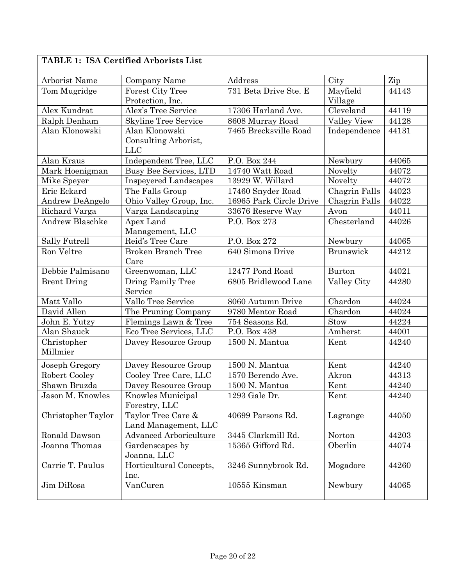| <b>TABLE 1: ISA Certified Arborists List</b> |  |
|----------------------------------------------|--|
|----------------------------------------------|--|

| Arborist Name          | Company Name                  | Address                 | City             | Zip   |
|------------------------|-------------------------------|-------------------------|------------------|-------|
| Tom Mugridge           | <b>Forest City Tree</b>       | 731 Beta Drive Ste. E   | Mayfield         | 44143 |
|                        | Protection, Inc.              |                         | Village          |       |
| Alex Kundrat           | Alex's Tree Service           | 17306 Harland Ave.      | Cleveland        | 44119 |
| Ralph Denham           | <b>Skyline Tree Service</b>   | 8608 Murray Road        | Valley View      | 44128 |
| Alan Klonowski         | Alan Klonowski                | 7465 Brecksville Road   | Independence     | 44131 |
|                        | Consulting Arborist,          |                         |                  |       |
|                        | <b>LLC</b>                    |                         |                  |       |
| Alan Kraus             | Independent Tree, LLC         | P.O. Box 244            | Newbury          | 44065 |
| Mark Hoenigman         | <b>Busy Bee Services, LTD</b> | 14740 Watt Road         | Novelty          | 44072 |
| Mike Speyer            | <b>Inspeyered Landscapes</b>  | 13929 W. Willard        | Novelty          | 44072 |
| Eric Eckard            | The Falls Group               | 17460 Snyder Road       | Chagrin Falls    | 44023 |
| Andrew DeAngelo        | Ohio Valley Group, Inc.       | 16965 Park Circle Drive | Chagrin Falls    | 44022 |
| Richard Varga          | Varga Landscaping             | 33676 Reserve Way       | Avon             | 44011 |
| <b>Andrew Blaschke</b> | Apex Land                     | P.O. Box 273            | Chesterland      | 44026 |
|                        | Management, LLC               |                         |                  |       |
| Sally Futrell          | Reid's Tree Care              | P.O. Box 272            | Newbury          | 44065 |
| Ron Veltre             | <b>Broken Branch Tree</b>     | 640 Simons Drive        | <b>Brunswick</b> | 44212 |
|                        | Care                          |                         |                  |       |
| Debbie Palmisano       | Greenwoman, LLC               | 12477 Pond Road         | Burton           | 44021 |
| <b>Brent Dring</b>     | Dring Family Tree             | 6805 Bridlewood Lane    | Valley City      | 44280 |
|                        | Service                       |                         |                  |       |
| Matt Vallo             | Vallo Tree Service            | 8060 Autumn Drive       | Chardon          | 44024 |
| David Allen            | The Pruning Company           | 9780 Mentor Road        | Chardon          | 44024 |
| John E. Yutzy          | Flemings Lawn & Tree          | 754 Seasons Rd.         | Stow             | 44224 |
| Alan Shauck            | Eco Tree Services, LLC        | P.O. Box 438            | Amherst          | 44001 |
| Christopher            | Davey Resource Group          | 1500 N. Mantua          | Kent             | 44240 |
| Millmier               |                               |                         |                  |       |
| Joseph Gregory         | Davey Resource Group          | 1500 N. Mantua          | Kent             | 44240 |
| Robert Cooley          | Cooley Tree Care, LLC         | 1570 Berendo Ave.       | Akron            | 44313 |
| Shawn Bruzda           | Davey Resource Group          | 1500 N. Mantua          | Kent             | 44240 |
| Jason M. Knowles       | <b>Knowles Municipal</b>      | 1293 Gale Dr.           | Kent             | 44240 |
|                        | Forestry, LLC                 |                         |                  |       |
| Christopher Taylor     | Taylor Tree Care &            | 40699 Parsons Rd.       | Lagrange         | 44050 |
|                        | Land Management, LLC          |                         |                  |       |
| Ronald Dawson          | <b>Advanced Arboriculture</b> | 3445 Clarkmill Rd.      | Norton           | 44203 |
| Joanna Thomas          | Gardenscapes by               | 15365 Gifford Rd.       | Oberlin          | 44074 |
|                        | Joanna, LLC                   |                         |                  |       |
| Carrie T. Paulus       | Horticultural Concepts,       | 3246 Sunnybrook Rd.     | Mogadore         | 44260 |
|                        | Inc.                          |                         |                  |       |
| Jim DiRosa             | VanCuren                      | 10555 Kinsman           | Newbury          | 44065 |
|                        |                               |                         |                  |       |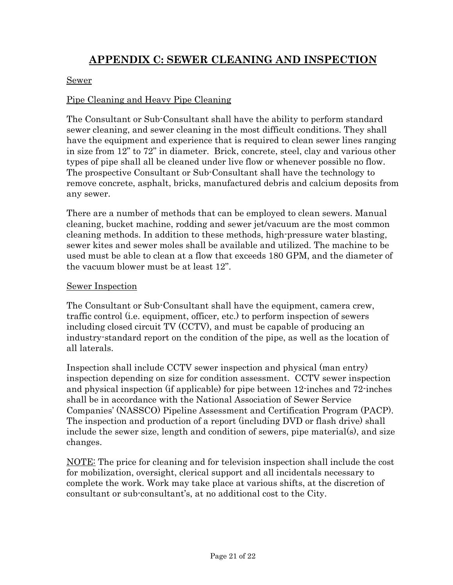# **APPENDIX C: SEWER CLEANING AND INSPECTION**

#### Sewer

#### Pipe Cleaning and Heavy Pipe Cleaning

The Consultant or Sub-Consultant shall have the ability to perform standard sewer cleaning, and sewer cleaning in the most difficult conditions. They shall have the equipment and experience that is required to clean sewer lines ranging in size from 12" to 72" in diameter. Brick, concrete, steel, clay and various other types of pipe shall all be cleaned under live flow or whenever possible no flow. The prospective Consultant or Sub-Consultant shall have the technology to remove concrete, asphalt, bricks, manufactured debris and calcium deposits from any sewer.

There are a number of methods that can be employed to clean sewers. Manual cleaning, bucket machine, rodding and sewer jet/vacuum are the most common cleaning methods. In addition to these methods, high-pressure water blasting, sewer kites and sewer moles shall be available and utilized. The machine to be used must be able to clean at a flow that exceeds 180 GPM, and the diameter of the vacuum blower must be at least 12".

#### Sewer Inspection

The Consultant or Sub-Consultant shall have the equipment, camera crew, traffic control (i.e. equipment, officer, etc.) to perform inspection of sewers including closed circuit TV (CCTV), and must be capable of producing an industry-standard report on the condition of the pipe, as well as the location of all laterals.

Inspection shall include CCTV sewer inspection and physical (man entry) inspection depending on size for condition assessment. CCTV sewer inspection and physical inspection (if applicable) for pipe between 12-inches and 72-inches shall be in accordance with the National Association of Sewer Service Companies' (NASSCO) Pipeline Assessment and Certification Program (PACP). The inspection and production of a report (including DVD or flash drive) shall include the sewer size, length and condition of sewers, pipe material(s), and size changes.

NOTE: The price for cleaning and for television inspection shall include the cost for mobilization, oversight, clerical support and all incidentals necessary to complete the work. Work may take place at various shifts, at the discretion of consultant or sub-consultant's, at no additional cost to the City.